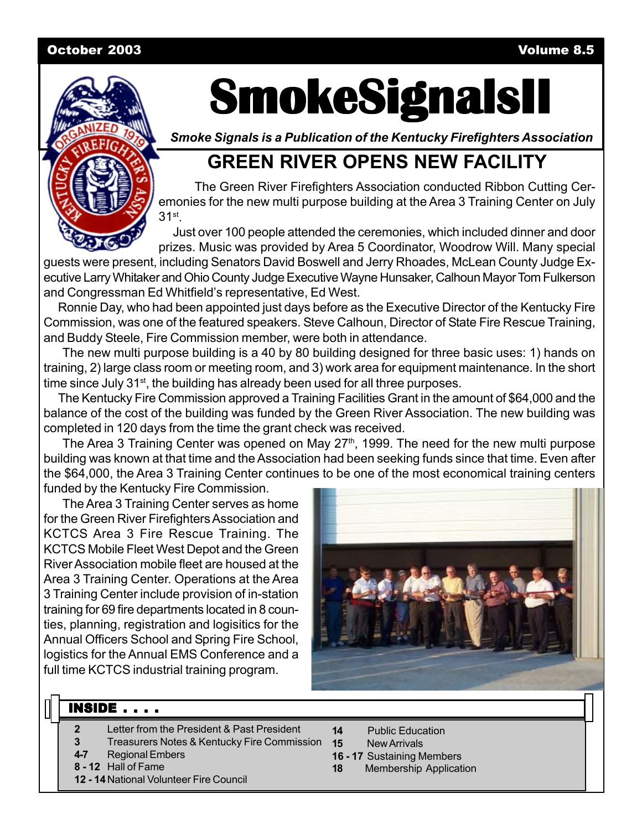#### October 2003 Volume 8.5



# **SmokeSignalsII SmokeSignalsII SmokeSignalsII**

*Smoke Signals is a Publication of the Kentucky Firefighters Association*

# **GREEN RIVER OPENS NEW FACILITY**

The Green River Firefighters Association conducted Ribbon Cutting Ceremonies for the new multi purpose building at the Area 3 Training Center on July 31st.

Just over 100 people attended the ceremonies, which included dinner and door prizes. Music was provided by Area 5 Coordinator, Woodrow Will. Many special

guests were present, including Senators David Boswell and Jerry Rhoades, McLean County Judge Executive Larry Whitaker and Ohio County Judge Executive Wayne Hunsaker, Calhoun Mayor Tom Fulkerson and Congressman Ed Whitfield's representative, Ed West.

Ronnie Day, who had been appointed just days before as the Executive Director of the Kentucky Fire Commission, was one of the featured speakers. Steve Calhoun, Director of State Fire Rescue Training, and Buddy Steele, Fire Commission member, were both in attendance.

The new multi purpose building is a 40 by 80 building designed for three basic uses: 1) hands on training, 2) large class room or meeting room, and 3) work area for equipment maintenance. In the short time since July 31<sup>st</sup>, the building has already been used for all three purposes.

The Kentucky Fire Commission approved a Training Facilities Grant in the amount of \$64,000 and the balance of the cost of the building was funded by the Green River Association. The new building was completed in 120 days from the time the grant check was received.

The Area 3 Training Center was opened on May 27<sup>th</sup>, 1999. The need for the new multi purpose building was known at that time and the Association had been seeking funds since that time. Even after the \$64,000, the Area 3 Training Center continues to be one of the most economical training centers funded by the Kentucky Fire Commission.

The Area 3 Training Center serves as home for the Green River Firefighters Association and KCTCS Area 3 Fire Rescue Training. The KCTCS Mobile Fleet West Depot and the Green River Association mobile fleet are housed at the Area 3 Training Center. Operations at the Area 3 Training Center include provision of in-station training for 69 fire departments located in 8 counties, planning, registration and logisitics for the Annual Officers School and Spring Fire School, logistics for the Annual EMS Conference and a full time KCTCS industrial training program.



#### **INSIDE . . . .**

- **2** Letter from the President & Past President
- **3** Treasurers Notes & Kentucky Fire Commission
- **4-7** Regional Embers
- **8 12** Hall of Fame
- **12 14**National Volunteer Fire Council
- **14** Public Education
- **15** New Arrivals
- **16 17** Sustaining Members
- **18** Membership Application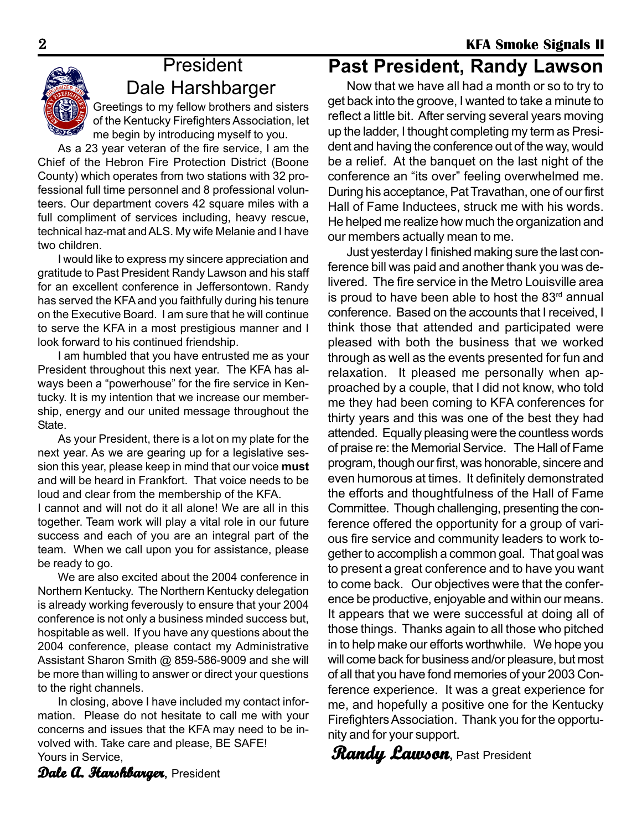# **President** Dale Harshbarger

Greetings to my fellow brothers and sisters of the Kentucky Firefighters Association, let me begin by introducing myself to you.

As a 23 year veteran of the fire service, I am the Chief of the Hebron Fire Protection District (Boone County) which operates from two stations with 32 professional full time personnel and 8 professional volunteers. Our department covers 42 square miles with a full compliment of services including, heavy rescue, technical haz-mat and ALS. My wife Melanie and I have two children.

I would like to express my sincere appreciation and gratitude to Past President Randy Lawson and his staff for an excellent conference in Jeffersontown. Randy has served the KFA and you faithfully during his tenure on the Executive Board. I am sure that he will continue to serve the KFA in a most prestigious manner and I look forward to his continued friendship.

I am humbled that you have entrusted me as your President throughout this next year. The KFA has always been a "powerhouse" for the fire service in Kentucky. It is my intention that we increase our membership, energy and our united message throughout the State.

As your President, there is a lot on my plate for the next year. As we are gearing up for a legislative session this year, please keep in mind that our voice **must** and will be heard in Frankfort. That voice needs to be loud and clear from the membership of the KFA. I cannot and will not do it all alone! We are all in this together. Team work will play a vital role in our future success and each of you are an integral part of the team. When we call upon you for assistance, please be ready to go.

We are also excited about the 2004 conference in Northern Kentucky. The Northern Kentucky delegation is already working feverously to ensure that your 2004 conference is not only a business minded success but, hospitable as well. If you have any questions about the 2004 conference, please contact my Administrative Assistant Sharon Smith @ 859-586-9009 and she will be more than willing to answer or direct your questions to the right channels.

In closing, above I have included my contact information. Please do not hesitate to call me with your concerns and issues that the KFA may need to be involved with. Take care and please, BE SAFE! Yours in Service,

# **Past President, Randy Lawson**

Now that we have all had a month or so to try to get back into the groove, I wanted to take a minute to reflect a little bit. After serving several years moving up the ladder, I thought completing my term as President and having the conference out of the way, would be a relief. At the banquet on the last night of the conference an "its over" feeling overwhelmed me. During his acceptance, Pat Travathan, one of our first Hall of Fame Inductees, struck me with his words. He helped me realize how much the organization and our members actually mean to me.

Just yesterday I finished making sure the last conference bill was paid and another thank you was delivered. The fire service in the Metro Louisville area is proud to have been able to host the  $83<sup>rd</sup>$  annual conference. Based on the accounts that I received, I think those that attended and participated were pleased with both the business that we worked through as well as the events presented for fun and relaxation. It pleased me personally when approached by a couple, that I did not know, who told me they had been coming to KFA conferences for thirty years and this was one of the best they had attended. Equally pleasing were the countless words of praise re: the Memorial Service. The Hall of Fame program, though our first, was honorable, sincere and even humorous at times. It definitely demonstrated the efforts and thoughtfulness of the Hall of Fame Committee. Though challenging, presenting the conference offered the opportunity for a group of various fire service and community leaders to work together to accomplish a common goal. That goal was to present a great conference and to have you want to come back. Our objectives were that the conference be productive, enjoyable and within our means. It appears that we were successful at doing all of those things. Thanks again to all those who pitched in to help make our efforts worthwhile. We hope you will come back for business and/or pleasure, but most of all that you have fond memories of your 2003 Conference experience. It was a great experience for me, and hopefully a positive one for the Kentucky Firefighters Association. Thank you for the opportunity and for your support.

**Randy Lawson Randy ,** Past President

**Dale A. Harshbarger**, President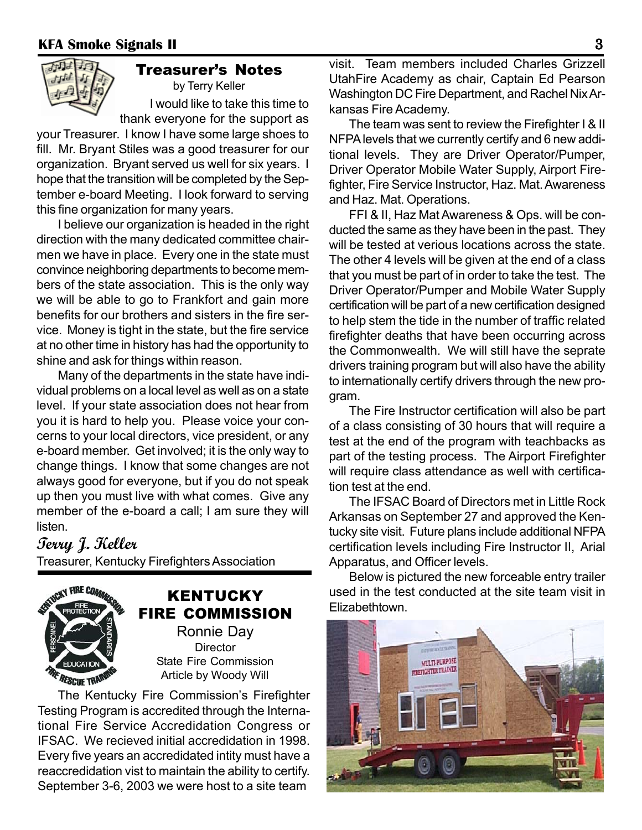

#### Treasurer's Notes by Terry Keller

I would like to take this time to thank everyone for the support as

your Treasurer. I know I have some large shoes to fill. Mr. Bryant Stiles was a good treasurer for our organization. Bryant served us well for six years. I hope that the transition will be completed by the September e-board Meeting. I look forward to serving this fine organization for many years.

I believe our organization is headed in the right direction with the many dedicated committee chairmen we have in place. Every one in the state must convince neighboring departments to become members of the state association. This is the only way we will be able to go to Frankfort and gain more benefits for our brothers and sisters in the fire service. Money is tight in the state, but the fire service at no other time in history has had the opportunity to shine and ask for things within reason.

Many of the departments in the state have individual problems on a local level as well as on a state level. If your state association does not hear from you it is hard to help you. Please voice your concerns to your local directors, vice president, or any e-board member. Get involved; it is the only way to change things. I know that some changes are not always good for everyone, but if you do not speak up then you must live with what comes. Give any member of the e-board a call; I am sure they will listen.

# **Terry J. Keller**

Treasurer, Kentucky Firefighters Association



## KENTUCKY FIRE COMMISSION Ronnie Day

**Director** State Fire Commission Article by Woody Will

The Kentucky Fire Commission's Firefighter Testing Program is accredited through the International Fire Service Accredidation Congress or IFSAC. We recieved initial accredidation in 1998. Every five years an accredidated intity must have a reaccredidation vist to maintain the ability to certify. September 3-6, 2003 we were host to a site team

visit. Team members included Charles Grizzell UtahFire Academy as chair, Captain Ed Pearson Washington DC Fire Department, and Rachel Nix Arkansas Fire Academy.

The team was sent to review the Firefighter I & II NFPA levels that we currently certify and 6 new additional levels. They are Driver Operator/Pumper, Driver Operator Mobile Water Supply, Airport Firefighter, Fire Service Instructor, Haz. Mat. Awareness and Haz. Mat. Operations.

FFI & II, Haz Mat Awareness & Ops. will be conducted the same as they have been in the past. They will be tested at verious locations across the state. The other 4 levels will be given at the end of a class that you must be part of in order to take the test. The Driver Operator/Pumper and Mobile Water Supply certification will be part of a new certification designed to help stem the tide in the number of traffic related firefighter deaths that have been occurring across the Commonwealth. We will still have the seprate drivers training program but will also have the ability to internationally certify drivers through the new program.

The Fire Instructor certification will also be part of a class consisting of 30 hours that will require a test at the end of the program with teachbacks as part of the testing process. The Airport Firefighter will require class attendance as well with certification test at the end.

The IFSAC Board of Directors met in Little Rock Arkansas on September 27 and approved the Kentucky site visit. Future plans include additional NFPA certification levels including Fire Instructor II, Arial Apparatus, and Officer levels.

Below is pictured the new forceable entry trailer used in the test conducted at the site team visit in Elizabethtown.

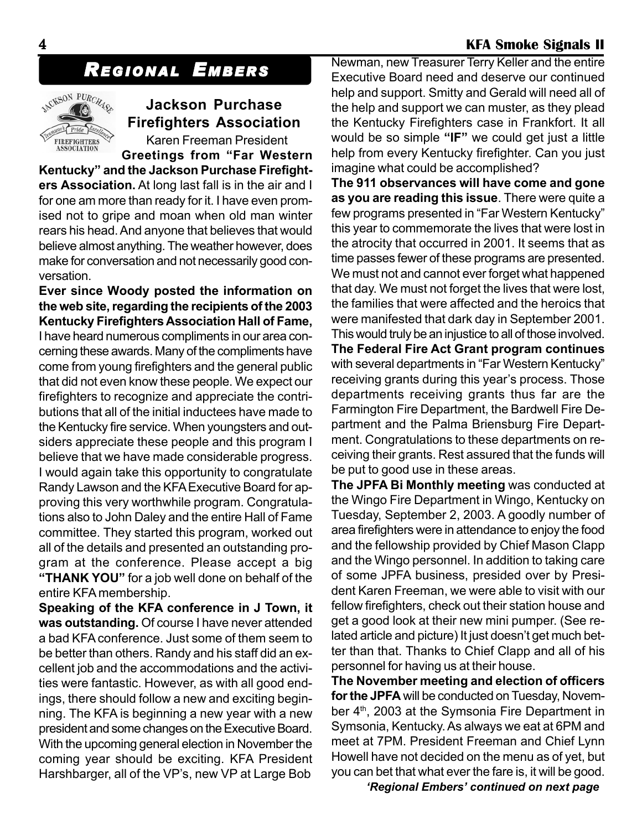# *REGIONAL EMBERS*



# **Jackson Purchase Firefighters Association**

Karen Freeman President

**Greetings from "Far Western Kentucky" and the Jackson Purchase Firefighters Association.** At long last fall is in the air and I for one am more than ready for it. I have even promised not to gripe and moan when old man winter rears his head. And anyone that believes that would believe almost anything. The weather however, does make for conversation and not necessarily good conversation.

**Ever since Woody posted the information on the web site, regarding the recipients of the 2003 Kentucky Firefighters Association Hall of Fame,** I have heard numerous compliments in our area concerning these awards. Many of the compliments have come from young firefighters and the general public that did not even know these people. We expect our firefighters to recognize and appreciate the contributions that all of the initial inductees have made to the Kentucky fire service. When youngsters and outsiders appreciate these people and this program I believe that we have made considerable progress. I would again take this opportunity to congratulate Randy Lawson and the KFA Executive Board for approving this very worthwhile program. Congratulations also to John Daley and the entire Hall of Fame committee. They started this program, worked out all of the details and presented an outstanding program at the conference. Please accept a big **"THANK YOU"** for a job well done on behalf of the entire KFA membership.

**Speaking of the KFA conference in J Town, it was outstanding.** Of course I have never attended a bad KFA conference. Just some of them seem to be better than others. Randy and his staff did an excellent job and the accommodations and the activities were fantastic. However, as with all good endings, there should follow a new and exciting beginning. The KFA is beginning a new year with a new president and some changes on the Executive Board. With the upcoming general election in November the coming year should be exciting. KFA President Harshbarger, all of the VP's, new VP at Large Bob

Newman, new Treasurer Terry Keller and the entire Executive Board need and deserve our continued help and support. Smitty and Gerald will need all of the help and support we can muster, as they plead the Kentucky Firefighters case in Frankfort. It all would be so simple **"IF"** we could get just a little help from every Kentucky firefighter. Can you just imagine what could be accomplished?

**The 911 observances will have come and gone as you are reading this issue**. There were quite a few programs presented in "Far Western Kentucky" this year to commemorate the lives that were lost in the atrocity that occurred in 2001. It seems that as time passes fewer of these programs are presented. We must not and cannot ever forget what happened that day. We must not forget the lives that were lost, the families that were affected and the heroics that were manifested that dark day in September 2001. This would truly be an injustice to all of those involved. **The Federal Fire Act Grant program continues** with several departments in "Far Western Kentucky"

receiving grants during this year's process. Those departments receiving grants thus far are the Farmington Fire Department, the Bardwell Fire Department and the Palma Briensburg Fire Department. Congratulations to these departments on receiving their grants. Rest assured that the funds will be put to good use in these areas.

**The JPFA Bi Monthly meeting** was conducted at the Wingo Fire Department in Wingo, Kentucky on Tuesday, September 2, 2003. A goodly number of area firefighters were in attendance to enjoy the food and the fellowship provided by Chief Mason Clapp and the Wingo personnel. In addition to taking care of some JPFA business, presided over by President Karen Freeman, we were able to visit with our fellow firefighters, check out their station house and get a good look at their new mini pumper. (See related article and picture) It just doesn't get much better than that. Thanks to Chief Clapp and all of his personnel for having us at their house.

**The November meeting and election of officers for the JPFA** will be conducted on Tuesday, November  $4<sup>th</sup>$ , 2003 at the Symsonia Fire Department in Symsonia, Kentucky. As always we eat at 6PM and meet at 7PM. President Freeman and Chief Lynn Howell have not decided on the menu as of yet, but you can bet that what ever the fare is, it will be good.

*'Regional Embers' continued on next page*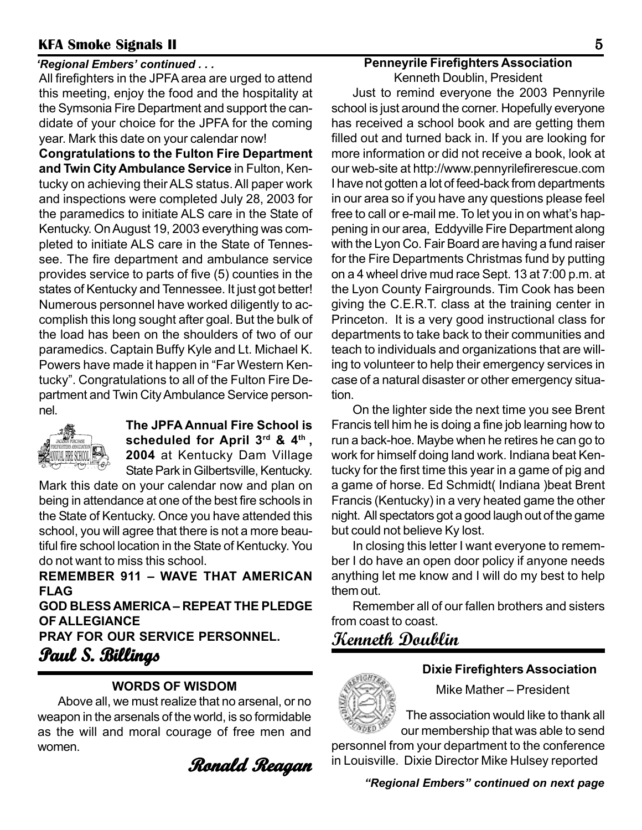#### *'Regional Embers' continued . . .*

All firefighters in the JPFA area are urged to attend this meeting, enjoy the food and the hospitality at the Symsonia Fire Department and support the candidate of your choice for the JPFA for the coming year. Mark this date on your calendar now!

**Congratulations to the Fulton Fire Department and Twin City Ambulance Service** in Fulton, Kentucky on achieving their ALS status. All paper work and inspections were completed July 28, 2003 for the paramedics to initiate ALS care in the State of Kentucky. On August 19, 2003 everything was completed to initiate ALS care in the State of Tennessee. The fire department and ambulance service provides service to parts of five (5) counties in the states of Kentucky and Tennessee. It just got better! Numerous personnel have worked diligently to accomplish this long sought after goal. But the bulk of the load has been on the shoulders of two of our paramedics. Captain Buffy Kyle and Lt. Michael K. Powers have made it happen in "Far Western Kentucky". Congratulations to all of the Fulton Fire Department and Twin City Ambulance Service personnel.



**The JPFA Annual Fire School is scheduled for April 3rd & 4th , 2004** at Kentucky Dam Village State Park in Gilbertsville, Kentucky.

Mark this date on your calendar now and plan on being in attendance at one of the best fire schools in the State of Kentucky. Once you have attended this school, you will agree that there is not a more beautiful fire school location in the State of Kentucky. You do not want to miss this school.

**REMEMBER 911 – WAVE THAT AMERICAN FLAG GOD BLESS AMERICA – REPEAT THE PLEDGE OF ALLEGIANCE PRAY FOR OUR SERVICE PERSONNEL.**

**Paul S. Billings . Billings**

#### **WORDS OF WISDOM**

Above all, we must realize that no arsenal, or no weapon in the arsenals of the world, is so formidable as the will and moral courage of free men and women.

**Ronald Reagan Ronald Reagan**

#### **Penneyrile Firefighters Association**

Kenneth Doublin, President

Just to remind everyone the 2003 Pennyrile school is just around the corner. Hopefully everyone has received a school book and are getting them filled out and turned back in. If you are looking for more information or did not receive a book, look at our web-site at http://www.pennyrilefirerescue.com I have not gotten a lot of feed-back from departments in our area so if you have any questions please feel free to call or e-mail me. To let you in on what's happening in our area, Eddyville Fire Department along with the Lyon Co. Fair Board are having a fund raiser for the Fire Departments Christmas fund by putting on a 4 wheel drive mud race Sept. 13 at 7:00 p.m. at the Lyon County Fairgrounds. Tim Cook has been giving the C.E.R.T. class at the training center in Princeton. It is a very good instructional class for departments to take back to their communities and teach to individuals and organizations that are willing to volunteer to help their emergency services in case of a natural disaster or other emergency situation.

On the lighter side the next time you see Brent Francis tell him he is doing a fine job learning how to run a back-hoe. Maybe when he retires he can go to work for himself doing land work. Indiana beat Kentucky for the first time this year in a game of pig and a game of horse. Ed Schmidt( Indiana )beat Brent Francis (Kentucky) in a very heated game the other night. All spectators got a good laugh out of the game but could not believe Ky lost.

In closing this letter I want everyone to remember I do have an open door policy if anyone needs anything let me know and I will do my best to help them out.

Remember all of our fallen brothers and sisters from coast to coast.

# **Kenneth Doublin**



#### **Dixie Firefighters Association**

Mike Mather – President

 The association would like to thank all our membership that was able to send

personnel from your department to the conference in Louisville. Dixie Director Mike Hulsey reported

*"Regional Embers" continued on next page*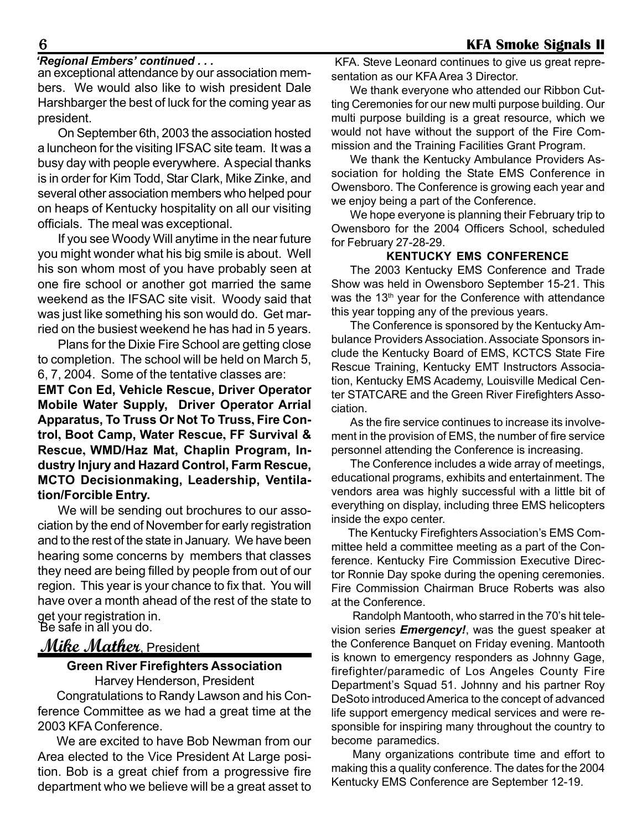#### *'Regional Embers' continued . . .*

an exceptional attendance by our association members. We would also like to wish president Dale Harshbarger the best of luck for the coming year as president.

On September 6th, 2003 the association hosted a luncheon for the visiting IFSAC site team. It was a busy day with people everywhere. A special thanks is in order for Kim Todd, Star Clark, Mike Zinke, and several other association members who helped pour on heaps of Kentucky hospitality on all our visiting officials. The meal was exceptional.

If you see Woody Will anytime in the near future you might wonder what his big smile is about. Well his son whom most of you have probably seen at one fire school or another got married the same weekend as the IFSAC site visit. Woody said that was just like something his son would do. Get married on the busiest weekend he has had in 5 years.

Plans for the Dixie Fire School are getting close to completion. The school will be held on March 5, 6, 7, 2004. Some of the tentative classes are:

**EMT Con Ed, Vehicle Rescue, Driver Operator Mobile Water Supply, Driver Operator Arrial Apparatus, To Truss Or Not To Truss, Fire Control, Boot Camp, Water Rescue, FF Survival & Rescue, WMD/Haz Mat, Chaplin Program, Industry Injury and Hazard Control, Farm Rescue, MCTO Decisionmaking, Leadership, Ventilation/Forcible Entry.**

We will be sending out brochures to our association by the end of November for early registration and to the rest of the state in January. We have been hearing some concerns by members that classes they need are being filled by people from out of our region. This year is your chance to fix that. You will have over a month ahead of the rest of the state to get your registration in. Be safe in all you do.

## **Mike Mather**, President

#### **Green River Firefighters Association**

Harvey Henderson, President

Congratulations to Randy Lawson and his Conference Committee as we had a great time at the 2003 KFA Conference.

We are excited to have Bob Newman from our Area elected to the Vice President At Large position. Bob is a great chief from a progressive fire department who we believe will be a great asset to

KFA. Steve Leonard continues to give us great representation as our KFA Area 3 Director.

We thank everyone who attended our Ribbon Cutting Ceremonies for our new multi purpose building. Our multi purpose building is a great resource, which we would not have without the support of the Fire Commission and the Training Facilities Grant Program.

We thank the Kentucky Ambulance Providers Association for holding the State EMS Conference in Owensboro. The Conference is growing each year and we enjoy being a part of the Conference.

We hope everyone is planning their February trip to Owensboro for the 2004 Officers School, scheduled for February 27-28-29.

#### **KENTUCKY EMS CONFERENCE**

The 2003 Kentucky EMS Conference and Trade Show was held in Owensboro September 15-21. This was the 13<sup>th</sup> year for the Conference with attendance this year topping any of the previous years.

The Conference is sponsored by the Kentucky Ambulance Providers Association. Associate Sponsors include the Kentucky Board of EMS, KCTCS State Fire Rescue Training, Kentucky EMT Instructors Association, Kentucky EMS Academy, Louisville Medical Center STATCARE and the Green River Firefighters Association.

As the fire service continues to increase its involvement in the provision of EMS, the number of fire service personnel attending the Conference is increasing.

The Conference includes a wide array of meetings, educational programs, exhibits and entertainment. The vendors area was highly successful with a little bit of everything on display, including three EMS helicopters inside the expo center.

 The Kentucky Firefighters Association's EMS Committee held a committee meeting as a part of the Conference. Kentucky Fire Commission Executive Director Ronnie Day spoke during the opening ceremonies. Fire Commission Chairman Bruce Roberts was also at the Conference.

Randolph Mantooth, who starred in the 70's hit television series *Emergency!*, was the guest speaker at the Conference Banquet on Friday evening. Mantooth is known to emergency responders as Johnny Gage, firefighter/paramedic of Los Angeles County Fire Department's Squad 51. Johnny and his partner Roy DeSoto introduced America to the concept of advanced life support emergency medical services and were responsible for inspiring many throughout the country to become paramedics.

Many organizations contribute time and effort to making this a quality conference. The dates for the 2004 Kentucky EMS Conference are September 12-19.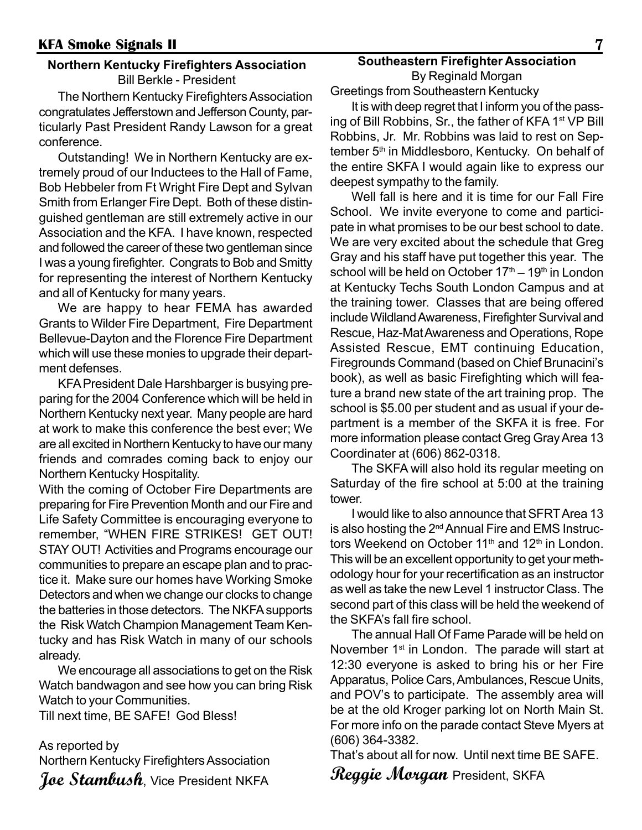#### **Northern Kentucky Firefighters Association** Bill Berkle - President

The Northern Kentucky Firefighters Association congratulates Jefferstown and Jefferson County, particularly Past President Randy Lawson for a great conference.

Outstanding! We in Northern Kentucky are extremely proud of our Inductees to the Hall of Fame, Bob Hebbeler from Ft Wright Fire Dept and Sylvan Smith from Erlanger Fire Dept. Both of these distinguished gentleman are still extremely active in our Association and the KFA. I have known, respected and followed the career of these two gentleman since I was a young firefighter. Congrats to Bob and Smitty for representing the interest of Northern Kentucky and all of Kentucky for many years.

We are happy to hear FEMA has awarded Grants to Wilder Fire Department, Fire Department Bellevue-Dayton and the Florence Fire Department which will use these monies to upgrade their department defenses.

KFA President Dale Harshbarger is busying preparing for the 2004 Conference which will be held in Northern Kentucky next year. Many people are hard at work to make this conference the best ever; We are all excited in Northern Kentucky to have our many friends and comrades coming back to enjoy our Northern Kentucky Hospitality.

With the coming of October Fire Departments are preparing for Fire Prevention Month and our Fire and Life Safety Committee is encouraging everyone to remember, "WHEN FIRE STRIKES! GET OUT! STAY OUT! Activities and Programs encourage our communities to prepare an escape plan and to practice it. Make sure our homes have Working Smoke Detectors and when we change our clocks to change the batteries in those detectors. The NKFA supports the Risk Watch Champion Management Team Kentucky and has Risk Watch in many of our schools already.

We encourage all associations to get on the Risk Watch bandwagon and see how you can bring Risk Watch to your Communities.

Till next time, BE SAFE! God Bless!

As reported by Northern Kentucky Firefighters Association Joe Stambush, Vice President NKFA

## **Southeastern Firefighter Association** By Reginald Morgan

Greetings from Southeastern Kentucky

It is with deep regret that I inform you of the passing of Bill Robbins, Sr., the father of KFA 1<sup>st</sup> VP Bill Robbins, Jr. Mr. Robbins was laid to rest on September 5<sup>th</sup> in Middlesboro, Kentucky. On behalf of the entire SKFA I would again like to express our deepest sympathy to the family.

Well fall is here and it is time for our Fall Fire School. We invite everyone to come and participate in what promises to be our best school to date. We are very excited about the schedule that Greg Gray and his staff have put together this year. The school will be held on October  $17<sup>th</sup> - 19<sup>th</sup>$  in London at Kentucky Techs South London Campus and at the training tower. Classes that are being offered include Wildland Awareness, Firefighter Survival and Rescue, Haz-Mat Awareness and Operations, Rope Assisted Rescue, EMT continuing Education, Firegrounds Command (based on Chief Brunacini's book), as well as basic Firefighting which will feature a brand new state of the art training prop. The school is \$5.00 per student and as usual if your department is a member of the SKFA it is free. For more information please contact Greg Gray Area 13 Coordinater at (606) 862-0318.

The SKFA will also hold its regular meeting on Saturday of the fire school at 5:00 at the training tower.

I would like to also announce that SFRT Area 13 is also hosting the 2nd Annual Fire and EMS Instructors Weekend on October 11<sup>th</sup> and 12<sup>th</sup> in London. This will be an excellent opportunity to get your methodology hour for your recertification as an instructor as well as take the new Level 1 instructor Class. The second part of this class will be held the weekend of the SKFA's fall fire school.

The annual Hall Of Fame Parade will be held on November 1<sup>st</sup> in London. The parade will start at 12:30 everyone is asked to bring his or her Fire Apparatus, Police Cars, Ambulances, Rescue Units, and POV's to participate. The assembly area will be at the old Kroger parking lot on North Main St. For more info on the parade contact Steve Myers at (606) 364-3382.

That's about all for now. Until next time BE SAFE.

**Reggie Morgan** President, SKFA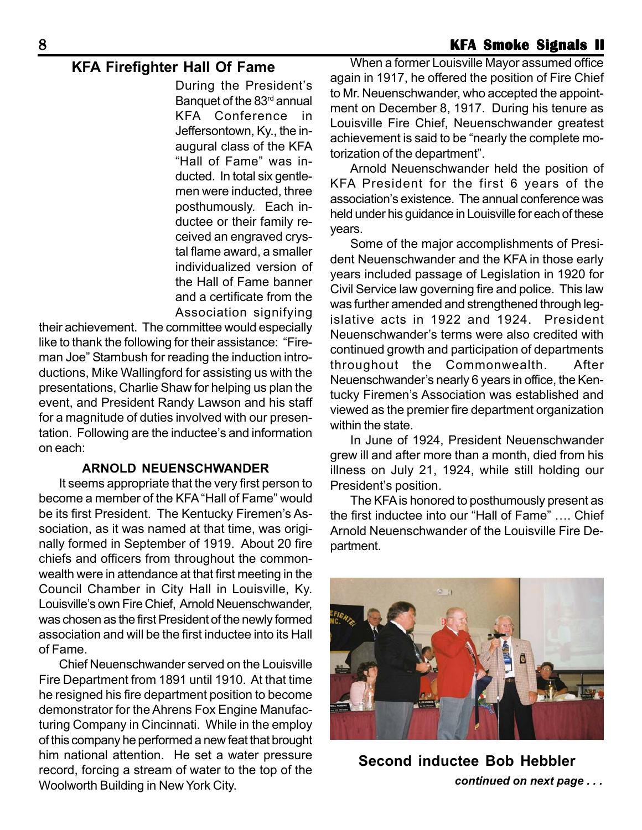During the President's Banquet of the 83<sup>rd</sup> annual KFA Conference in Jeffersontown, Ky., the inaugural class of the KFA "Hall of Fame" was inducted. In total six gentlemen were inducted, three posthumously. Each inductee or their family received an engraved crystal flame award, a smaller individualized version of the Hall of Fame banner and a certificate from the Association signifying

their achievement. The committee would especially like to thank the following for their assistance: "Fireman Joe" Stambush for reading the induction introductions, Mike Wallingford for assisting us with the presentations, Charlie Shaw for helping us plan the event, and President Randy Lawson and his staff for a magnitude of duties involved with our presentation. Following are the inductee's and information on each:

#### **ARNOLD NEUENSCHWANDER**

It seems appropriate that the very first person to become a member of the KFA "Hall of Fame" would be its first President. The Kentucky Firemen's Association, as it was named at that time, was originally formed in September of 1919. About 20 fire chiefs and officers from throughout the commonwealth were in attendance at that first meeting in the Council Chamber in City Hall in Louisville, Ky. Louisville's own Fire Chief, Arnold Neuenschwander, was chosen as the first President of the newly formed association and will be the first inductee into its Hall of Fame.

Chief Neuenschwander served on the Louisville Fire Department from 1891 until 1910. At that time he resigned his fire department position to become demonstrator for the Ahrens Fox Engine Manufacturing Company in Cincinnati. While in the employ of this company he performed a new feat that brought him national attention. He set a water pressure record, forcing a stream of water to the top of the Woolworth Building in New York City.

**KFA Firefighter Hall Of Fame** When a former Louisville Mayor assumed office again in 1917, he offered the position of Fire Chief to Mr. Neuenschwander, who accepted the appointment on December 8, 1917. During his tenure as Louisville Fire Chief, Neuenschwander greatest achievement is said to be "nearly the complete motorization of the department".

> Arnold Neuenschwander held the position of KFA President for the first 6 years of the association's existence. The annual conference was held under his guidance in Louisville for each of these years.

> Some of the major accomplishments of President Neuenschwander and the KFA in those early years included passage of Legislation in 1920 for Civil Service law governing fire and police. This law was further amended and strengthened through legislative acts in 1922 and 1924. President Neuenschwander's terms were also credited with continued growth and participation of departments throughout the Commonwealth. After Neuenschwander's nearly 6 years in office, the Kentucky Firemen's Association was established and viewed as the premier fire department organization within the state.

> In June of 1924, President Neuenschwander grew ill and after more than a month, died from his illness on July 21, 1924, while still holding our President's position.

> The KFA is honored to posthumously present as the first inductee into our "Hall of Fame" …. Chief Arnold Neuenschwander of the Louisville Fire Department.



 *continued on next page . . .* **Second inductee Bob Hebbler**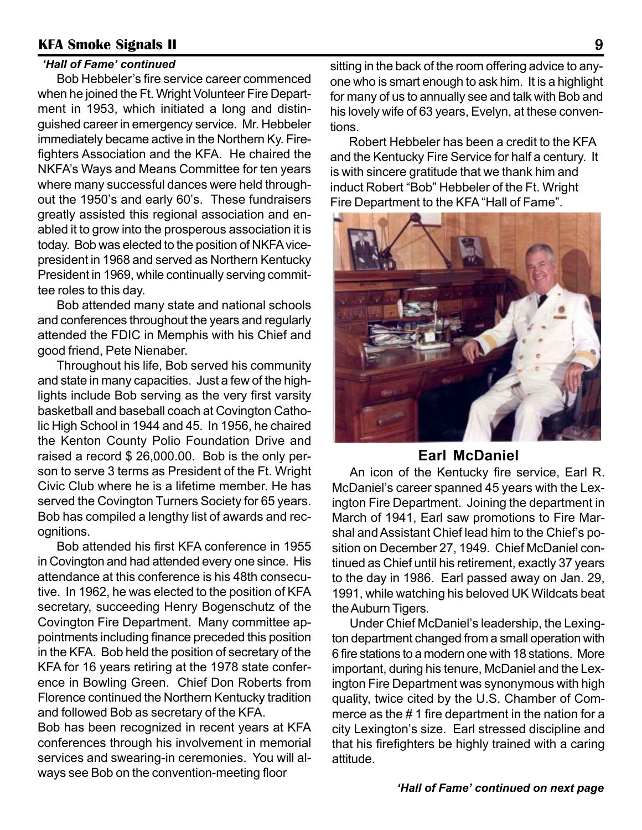#### *'Hall of Fame' continued*

Bob Hebbeler's fire service career commenced when he joined the Ft. Wright Volunteer Fire Department in 1953, which initiated a long and distinguished career in emergency service. Mr. Hebbeler immediately became active in the Northern Ky. Firefighters Association and the KFA. He chaired the NKFA's Ways and Means Committee for ten years where many successful dances were held throughout the 1950's and early 60's. These fundraisers greatly assisted this regional association and enabled it to grow into the prosperous association it is today. Bob was elected to the position of NKFA vicepresident in 1968 and served as Northern Kentucky President in 1969, while continually serving committee roles to this day.

Bob attended many state and national schools and conferences throughout the years and regularly attended the FDIC in Memphis with his Chief and good friend, Pete Nienaber.

Throughout his life, Bob served his community and state in many capacities. Just a few of the highlights include Bob serving as the very first varsity basketball and baseball coach at Covington Catholic High School in 1944 and 45. In 1956, he chaired the Kenton County Polio Foundation Drive and raised a record \$ 26,000.00. Bob is the only person to serve 3 terms as President of the Ft. Wright Civic Club where he is a lifetime member. He has served the Covington Turners Society for 65 years. Bob has compiled a lengthy list of awards and recognitions.

Bob attended his first KFA conference in 1955 in Covington and had attended every one since. His attendance at this conference is his 48th consecutive. In 1962, he was elected to the position of KFA secretary, succeeding Henry Bogenschutz of the Covington Fire Department. Many committee appointments including finance preceded this position in the KFA. Bob held the position of secretary of the KFA for 16 years retiring at the 1978 state conference in Bowling Green. Chief Don Roberts from Florence continued the Northern Kentucky tradition and followed Bob as secretary of the KFA.

Bob has been recognized in recent years at KFA conferences through his involvement in memorial services and swearing-in ceremonies. You will always see Bob on the convention-meeting floor

sitting in the back of the room offering advice to anyone who is smart enough to ask him. It is a highlight for many of us to annually see and talk with Bob and his lovely wife of 63 years, Evelyn, at these conventions.

Robert Hebbeler has been a credit to the KFA and the Kentucky Fire Service for half a century. It is with sincere gratitude that we thank him and induct Robert "Bob" Hebbeler of the Ft. Wright Fire Department to the KFA "Hall of Fame".



#### **Earl McDaniel**

An icon of the Kentucky fire service, Earl R. McDaniel's career spanned 45 years with the Lexington Fire Department. Joining the department in March of 1941, Earl saw promotions to Fire Marshal and Assistant Chief lead him to the Chief's position on December 27, 1949. Chief McDaniel continued as Chief until his retirement, exactly 37 years to the day in 1986. Earl passed away on Jan. 29, 1991, while watching his beloved UK Wildcats beat the Auburn Tigers.

Under Chief McDaniel's leadership, the Lexington department changed from a small operation with 6 fire stations to a modern one with 18 stations. More important, during his tenure, McDaniel and the Lexington Fire Department was synonymous with high quality, twice cited by the U.S. Chamber of Commerce as the # 1 fire department in the nation for a city Lexington's size. Earl stressed discipline and that his firefighters be highly trained with a caring attitude.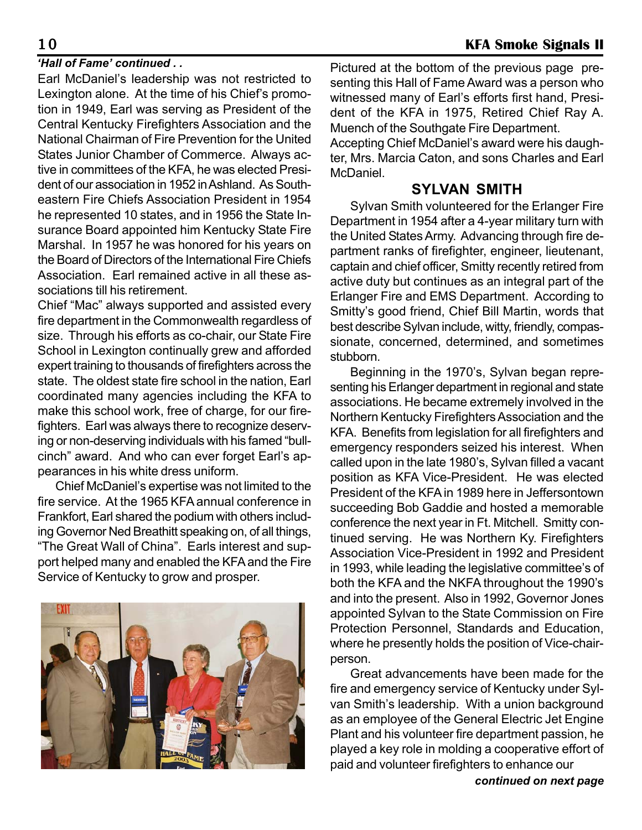Earl McDaniel's leadership was not restricted to Lexington alone. At the time of his Chief's promotion in 1949, Earl was serving as President of the Central Kentucky Firefighters Association and the National Chairman of Fire Prevention for the United States Junior Chamber of Commerce. Always active in committees of the KFA, he was elected President of our association in 1952 in Ashland. As Southeastern Fire Chiefs Association President in 1954 he represented 10 states, and in 1956 the State Insurance Board appointed him Kentucky State Fire Marshal. In 1957 he was honored for his years on the Board of Directors of the International Fire Chiefs Association. Earl remained active in all these associations till his retirement.

Chief "Mac" always supported and assisted every fire department in the Commonwealth regardless of size. Through his efforts as co-chair, our State Fire School in Lexington continually grew and afforded expert training to thousands of firefighters across the state. The oldest state fire school in the nation, Earl coordinated many agencies including the KFA to make this school work, free of charge, for our firefighters. Earl was always there to recognize deserving or non-deserving individuals with his famed "bullcinch" award. And who can ever forget Earl's appearances in his white dress uniform.

Chief McDaniel's expertise was not limited to the fire service. At the 1965 KFA annual conference in Frankfort, Earl shared the podium with others including Governor Ned Breathitt speaking on, of all things, "The Great Wall of China". Earls interest and support helped many and enabled the KFA and the Fire Service of Kentucky to grow and prosper.



*Hall of Fame' continued . .* The Pictured at the bottom of the previous page presenting this Hall of Fame Award was a person who witnessed many of Earl's efforts first hand, President of the KFA in 1975, Retired Chief Ray A. Muench of the Southgate Fire Department.

Accepting Chief McDaniel's award were his daughter, Mrs. Marcia Caton, and sons Charles and Earl McDaniel.

#### **SYLVAN SMITH**

Sylvan Smith volunteered for the Erlanger Fire Department in 1954 after a 4-year military turn with the United States Army. Advancing through fire department ranks of firefighter, engineer, lieutenant, captain and chief officer, Smitty recently retired from active duty but continues as an integral part of the Erlanger Fire and EMS Department. According to Smitty's good friend, Chief Bill Martin, words that best describe Sylvan include, witty, friendly, compassionate, concerned, determined, and sometimes stubborn.

Beginning in the 1970's, Sylvan began representing his Erlanger department in regional and state associations. He became extremely involved in the Northern Kentucky Firefighters Association and the KFA. Benefits from legislation for all firefighters and emergency responders seized his interest. When called upon in the late 1980's, Sylvan filled a vacant position as KFA Vice-President. He was elected President of the KFA in 1989 here in Jeffersontown succeeding Bob Gaddie and hosted a memorable conference the next year in Ft. Mitchell. Smitty continued serving. He was Northern Ky. Firefighters Association Vice-President in 1992 and President in 1993, while leading the legislative committee's of both the KFA and the NKFA throughout the 1990's and into the present. Also in 1992, Governor Jones appointed Sylvan to the State Commission on Fire Protection Personnel, Standards and Education, where he presently holds the position of Vice-chairperson.

Great advancements have been made for the fire and emergency service of Kentucky under Sylvan Smith's leadership. With a union background as an employee of the General Electric Jet Engine Plant and his volunteer fire department passion, he played a key role in molding a cooperative effort of paid and volunteer firefighters to enhance our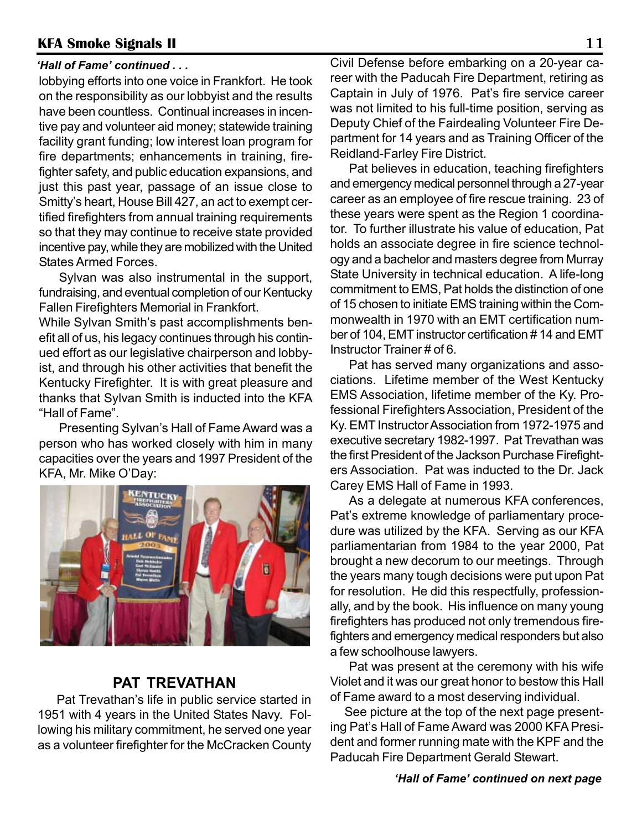#### *'Hall of Fame' continued . . .*

lobbying efforts into one voice in Frankfort. He took on the responsibility as our lobbyist and the results have been countless. Continual increases in incentive pay and volunteer aid money; statewide training facility grant funding; low interest loan program for fire departments; enhancements in training, firefighter safety, and public education expansions, and just this past year, passage of an issue close to Smitty's heart, House Bill 427, an act to exempt certified firefighters from annual training requirements so that they may continue to receive state provided incentive pay, while they are mobilized with the United States Armed Forces.

Sylvan was also instrumental in the support, fundraising, and eventual completion of our Kentucky Fallen Firefighters Memorial in Frankfort.

While Sylvan Smith's past accomplishments benefit all of us, his legacy continues through his continued effort as our legislative chairperson and lobbyist, and through his other activities that benefit the Kentucky Firefighter. It is with great pleasure and thanks that Sylvan Smith is inducted into the KFA "Hall of Fame".

Presenting Sylvan's Hall of Fame Award was a person who has worked closely with him in many capacities over the years and 1997 President of the KFA, Mr. Mike O'Day:



#### **PAT TREVATHAN**

Pat Trevathan's life in public service started in 1951 with 4 years in the United States Navy. Following his military commitment, he served one year as a volunteer firefighter for the McCracken County

Civil Defense before embarking on a 20-year career with the Paducah Fire Department, retiring as Captain in July of 1976. Pat's fire service career was not limited to his full-time position, serving as Deputy Chief of the Fairdealing Volunteer Fire Department for 14 years and as Training Officer of the Reidland-Farley Fire District.

Pat believes in education, teaching firefighters and emergency medical personnel through a 27-year career as an employee of fire rescue training. 23 of these years were spent as the Region 1 coordinator. To further illustrate his value of education, Pat holds an associate degree in fire science technology and a bachelor and masters degree from Murray State University in technical education. A life-long commitment to EMS, Pat holds the distinction of one of 15 chosen to initiate EMS training within the Commonwealth in 1970 with an EMT certification number of 104, EMT instructor certification # 14 and EMT Instructor Trainer # of 6.

Pat has served many organizations and associations. Lifetime member of the West Kentucky EMS Association, lifetime member of the Ky. Professional Firefighters Association, President of the Ky. EMT Instructor Association from 1972-1975 and executive secretary 1982-1997. Pat Trevathan was the first President of the Jackson Purchase Firefighters Association. Pat was inducted to the Dr. Jack Carey EMS Hall of Fame in 1993.

As a delegate at numerous KFA conferences, Pat's extreme knowledge of parliamentary procedure was utilized by the KFA. Serving as our KFA parliamentarian from 1984 to the year 2000, Pat brought a new decorum to our meetings. Through the years many tough decisions were put upon Pat for resolution. He did this respectfully, professionally, and by the book. His influence on many young firefighters has produced not only tremendous firefighters and emergency medical responders but also a few schoolhouse lawyers.

Pat was present at the ceremony with his wife Violet and it was our great honor to bestow this Hall of Fame award to a most deserving individual.

See picture at the top of the next page presenting Pat's Hall of Fame Award was 2000 KFA President and former running mate with the KPF and the Paducah Fire Department Gerald Stewart.

#### *'Hall of Fame' continued on next page*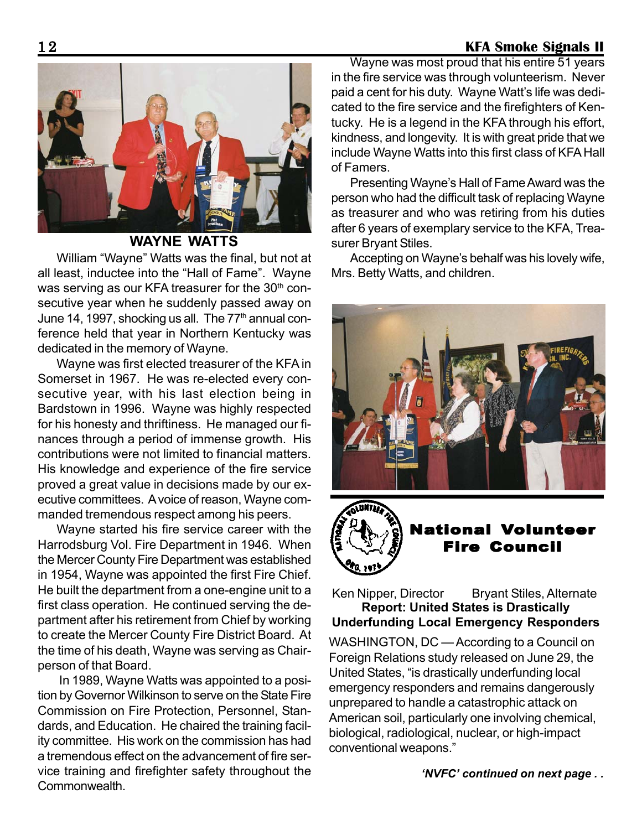

#### **WAYNE WATTS**

William "Wayne" Watts was the final, but not at all least, inductee into the "Hall of Fame". Wayne was serving as our KFA treasurer for the 30<sup>th</sup> consecutive year when he suddenly passed away on June 14, 1997, shocking us all. The  $77<sup>th</sup>$  annual conference held that year in Northern Kentucky was dedicated in the memory of Wayne.

Wayne was first elected treasurer of the KFA in Somerset in 1967. He was re-elected every consecutive year, with his last election being in Bardstown in 1996. Wayne was highly respected for his honesty and thriftiness. He managed our finances through a period of immense growth. His contributions were not limited to financial matters. His knowledge and experience of the fire service proved a great value in decisions made by our executive committees. A voice of reason, Wayne commanded tremendous respect among his peers.

Wayne started his fire service career with the Harrodsburg Vol. Fire Department in 1946. When the Mercer County Fire Department was established in 1954, Wayne was appointed the first Fire Chief. He built the department from a one-engine unit to a first class operation. He continued serving the department after his retirement from Chief by working to create the Mercer County Fire District Board. At the time of his death, Wayne was serving as Chairperson of that Board.

 In 1989, Wayne Watts was appointed to a position by Governor Wilkinson to serve on the State Fire Commission on Fire Protection, Personnel, Standards, and Education. He chaired the training facility committee. His work on the commission has had a tremendous effect on the advancement of fire service training and firefighter safety throughout the Commonwealth.

Wayne was most proud that his entire 51 years in the fire service was through volunteerism. Never paid a cent for his duty. Wayne Watt's life was dedicated to the fire service and the firefighters of Kentucky. He is a legend in the KFA through his effort, kindness, and longevity. It is with great pride that we include Wayne Watts into this first class of KFA Hall of Famers.

Presenting Wayne's Hall of Fame Award was the person who had the difficult task of replacing Wayne as treasurer and who was retiring from his duties after 6 years of exemplary service to the KFA, Treasurer Bryant Stiles.

Accepting on Wayne's behalf was his lovely wife, Mrs. Betty Watts, and children.





National Volunteer **Fire Council** 

Ken Nipper, Director Bryant Stiles, Alternate **Report: United States is Drastically Underfunding Local Emergency Responders**

WASHINGTON, DC — According to a Council on Foreign Relations study released on June 29, the United States, "is drastically underfunding local emergency responders and remains dangerously unprepared to handle a catastrophic attack on American soil, particularly one involving chemical, biological, radiological, nuclear, or high-impact conventional weapons."

*'NVFC' continued on next page . .*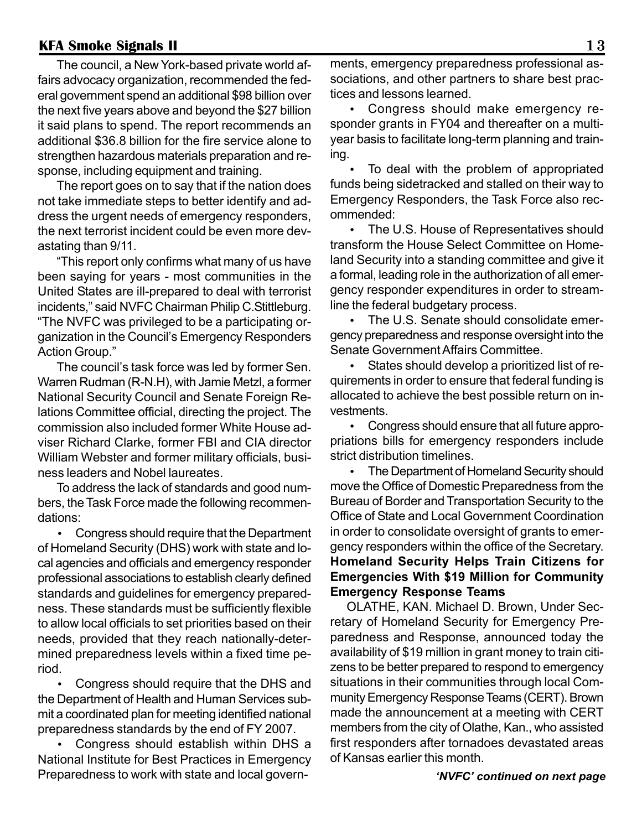The council, a New York-based private world affairs advocacy organization, recommended the federal government spend an additional \$98 billion over the next five years above and beyond the \$27 billion it said plans to spend. The report recommends an additional \$36.8 billion for the fire service alone to strengthen hazardous materials preparation and response, including equipment and training.

The report goes on to say that if the nation does not take immediate steps to better identify and address the urgent needs of emergency responders, the next terrorist incident could be even more devastating than 9/11.

"This report only confirms what many of us have been saying for years - most communities in the United States are ill-prepared to deal with terrorist incidents," said NVFC Chairman Philip C.Stittleburg. "The NVFC was privileged to be a participating organization in the Council's Emergency Responders Action Group."

The council's task force was led by former Sen. Warren Rudman (R-N.H), with Jamie Metzl, a former National Security Council and Senate Foreign Relations Committee official, directing the project. The commission also included former White House adviser Richard Clarke, former FBI and CIA director William Webster and former military officials, business leaders and Nobel laureates.

To address the lack of standards and good numbers, the Task Force made the following recommendations:

• Congress should require that the Department of Homeland Security (DHS) work with state and local agencies and officials and emergency responder professional associations to establish clearly defined standards and guidelines for emergency preparedness. These standards must be sufficiently flexible to allow local officials to set priorities based on their needs, provided that they reach nationally-determined preparedness levels within a fixed time period.

• Congress should require that the DHS and the Department of Health and Human Services submit a coordinated plan for meeting identified national preparedness standards by the end of FY 2007.

• Congress should establish within DHS a National Institute for Best Practices in Emergency Preparedness to work with state and local governments, emergency preparedness professional associations, and other partners to share best practices and lessons learned.

• Congress should make emergency responder grants in FY04 and thereafter on a multiyear basis to facilitate long-term planning and training.

• To deal with the problem of appropriated funds being sidetracked and stalled on their way to Emergency Responders, the Task Force also recommended:

• The U.S. House of Representatives should transform the House Select Committee on Homeland Security into a standing committee and give it a formal, leading role in the authorization of all emergency responder expenditures in order to streamline the federal budgetary process.

• The U.S. Senate should consolidate emergency preparedness and response oversight into the Senate Government Affairs Committee.

• States should develop a prioritized list of requirements in order to ensure that federal funding is allocated to achieve the best possible return on investments.

• Congress should ensure that all future appropriations bills for emergency responders include strict distribution timelines.

• The Department of Homeland Security should move the Office of Domestic Preparedness from the Bureau of Border and Transportation Security to the Office of State and Local Government Coordination in order to consolidate oversight of grants to emergency responders within the office of the Secretary. **Homeland Security Helps Train Citizens for Emergencies With \$19 Million for Community Emergency Response Teams**

OLATHE, KAN. Michael D. Brown, Under Secretary of Homeland Security for Emergency Preparedness and Response, announced today the availability of \$19 million in grant money to train citizens to be better prepared to respond to emergency situations in their communities through local Community Emergency Response Teams (CERT). Brown made the announcement at a meeting with CERT members from the city of Olathe, Kan., who assisted first responders after tornadoes devastated areas of Kansas earlier this month.

*'NVFC' continued on next page*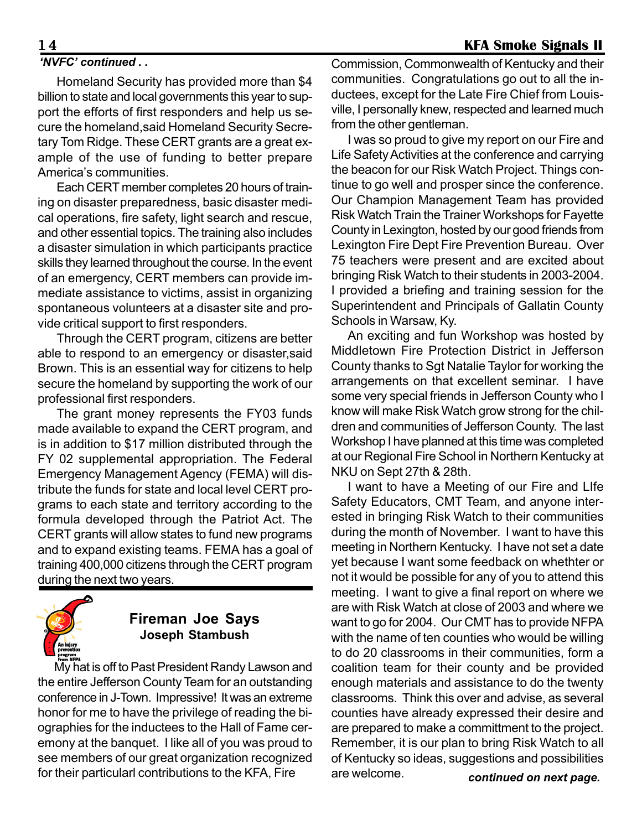#### *'NVFC' continued . .*

Homeland Security has provided more than \$4 billion to state and local governments this year to support the efforts of first responders and help us secure the homeland,said Homeland Security Secretary Tom Ridge. These CERT grants are a great example of the use of funding to better prepare America's communities.

Each CERT member completes 20 hours of training on disaster preparedness, basic disaster medical operations, fire safety, light search and rescue, and other essential topics. The training also includes a disaster simulation in which participants practice skills they learned throughout the course. In the event of an emergency, CERT members can provide immediate assistance to victims, assist in organizing spontaneous volunteers at a disaster site and provide critical support to first responders.

Through the CERT program, citizens are better able to respond to an emergency or disaster,said Brown. This is an essential way for citizens to help secure the homeland by supporting the work of our professional first responders.

The grant money represents the FY03 funds made available to expand the CERT program, and is in addition to \$17 million distributed through the FY 02 supplemental appropriation. The Federal Emergency Management Agency (FEMA) will distribute the funds for state and local level CERT programs to each state and territory according to the formula developed through the Patriot Act. The CERT grants will allow states to fund new programs and to expand existing teams. FEMA has a goal of training 400,000 citizens through the CERT program during the next two years.



## **Fireman Joe Says Joseph Stambush**

My hat is off to Past President Randy Lawson and the entire Jefferson County Team for an outstanding conference in J-Town. Impressive! It was an extreme honor for me to have the privilege of reading the biographies for the inductees to the Hall of Fame ceremony at the banquet. I like all of you was proud to see members of our great organization recognized for their particularl contributions to the KFA, Fire

Commission, Commonwealth of Kentucky and their communities. Congratulations go out to all the inductees, except for the Late Fire Chief from Louisville, I personally knew, respected and learned much from the other gentleman.

I was so proud to give my report on our Fire and Life Safety Activities at the conference and carrying the beacon for our Risk Watch Project. Things continue to go well and prosper since the conference. Our Champion Management Team has provided Risk Watch Train the Trainer Workshops for Fayette County in Lexington, hosted by our good friends from Lexington Fire Dept Fire Prevention Bureau. Over 75 teachers were present and are excited about bringing Risk Watch to their students in 2003-2004. I provided a briefing and training session for the Superintendent and Principals of Gallatin County Schools in Warsaw, Ky.

An exciting and fun Workshop was hosted by Middletown Fire Protection District in Jefferson County thanks to Sgt Natalie Taylor for working the arrangements on that excellent seminar. I have some very special friends in Jefferson County who I know will make Risk Watch grow strong for the children and communities of Jefferson County. The last Workshop I have planned at this time was completed at our Regional Fire School in Northern Kentucky at NKU on Sept 27th & 28th.

I want to have a Meeting of our Fire and LIfe Safety Educators, CMT Team, and anyone interested in bringing Risk Watch to their communities during the month of November. I want to have this meeting in Northern Kentucky. I have not set a date yet because I want some feedback on whethter or not it would be possible for any of you to attend this meeting. I want to give a final report on where we are with Risk Watch at close of 2003 and where we want to go for 2004. Our CMT has to provide NFPA with the name of ten counties who would be willing to do 20 classrooms in their communities, form a coalition team for their county and be provided enough materials and assistance to do the twenty classrooms. Think this over and advise, as several counties have already expressed their desire and are prepared to make a committment to the project. Remember, it is our plan to bring Risk Watch to all of Kentucky so ideas, suggestions and possibilities are welcome. *continued on next page.*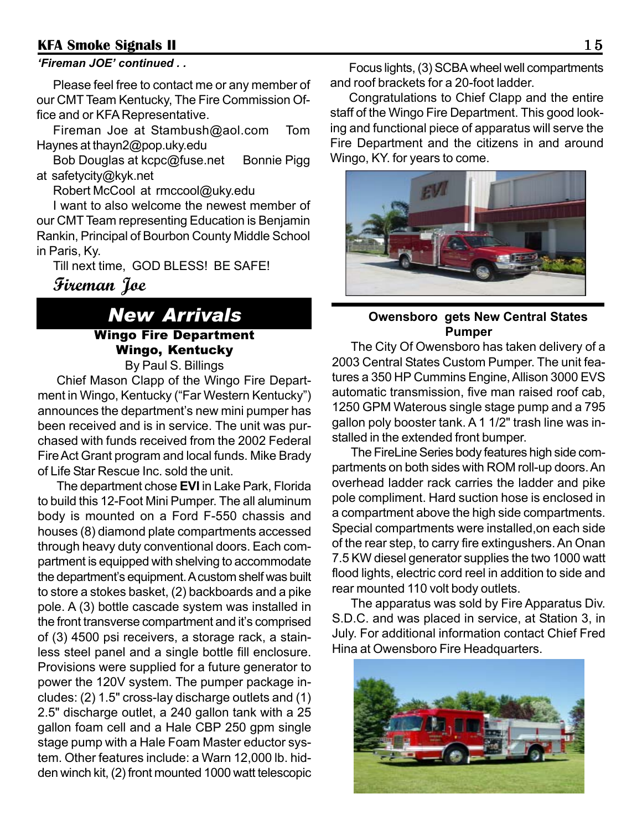#### *'Fireman JOE' continued . .*

Please feel free to contact me or any member of our CMT Team Kentucky, The Fire Commission Office and or KFA Representative.

Fireman Joe at Stambush@aol.com Tom Haynes at thayn2@pop.uky.edu

Bob Douglas at kcpc@fuse.net Bonnie Pigg at safetycity@kyk.net

Robert McCool at rmccool@uky.edu

I want to also welcome the newest member of our CMT Team representing Education is Benjamin Rankin, Principal of Bourbon County Middle School in Paris, Ky.

Till next time, GOD BLESS! BE SAFE!

**Fireman Joe**

#### *New Arrivals* Wingo Fire Department Wingo, Kentucky By Paul S. Billings

Chief Mason Clapp of the Wingo Fire Department in Wingo, Kentucky ("Far Western Kentucky") announces the department's new mini pumper has been received and is in service. The unit was purchased with funds received from the 2002 Federal Fire Act Grant program and local funds. Mike Brady of Life Star Rescue Inc. sold the unit.

The department chose **EVI** in Lake Park, Florida to build this 12-Foot Mini Pumper. The all aluminum body is mounted on a Ford F-550 chassis and houses (8) diamond plate compartments accessed through heavy duty conventional doors. Each compartment is equipped with shelving to accommodate the department's equipment. A custom shelf was built to store a stokes basket, (2) backboards and a pike pole. A (3) bottle cascade system was installed in the front transverse compartment and it's comprised of (3) 4500 psi receivers, a storage rack, a stainless steel panel and a single bottle fill enclosure. Provisions were supplied for a future generator to power the 120V system. The pumper package includes: (2) 1.5" cross-lay discharge outlets and (1) 2.5" discharge outlet, a 240 gallon tank with a 25 gallon foam cell and a Hale CBP 250 gpm single stage pump with a Hale Foam Master eductor system. Other features include: a Warn 12,000 lb. hidden winch kit, (2) front mounted 1000 watt telescopic

Focus lights, (3) SCBA wheel well compartments and roof brackets for a 20-foot ladder.

Congratulations to Chief Clapp and the entire staff of the Wingo Fire Department. This good looking and functional piece of apparatus will serve the Fire Department and the citizens in and around Wingo, KY. for years to come.



#### **Owensboro gets New Central States Pumper**

The City Of Owensboro has taken delivery of a 2003 Central States Custom Pumper. The unit features a 350 HP Cummins Engine, Allison 3000 EVS automatic transmission, five man raised roof cab, 1250 GPM Waterous single stage pump and a 795 gallon poly booster tank. A 1 1/2" trash line was installed in the extended front bumper.

The FireLine Series body features high side compartments on both sides with ROM roll-up doors. An overhead ladder rack carries the ladder and pike pole compliment. Hard suction hose is enclosed in a compartment above the high side compartments. Special compartments were installed,on each side of the rear step, to carry fire extingushers. An Onan 7.5 KW diesel generator supplies the two 1000 watt flood lights, electric cord reel in addition to side and rear mounted 110 volt body outlets.

The apparatus was sold by Fire Apparatus Div. S.D.C. and was placed in service, at Station 3, in July. For additional information contact Chief Fred Hina at Owensboro Fire Headquarters.

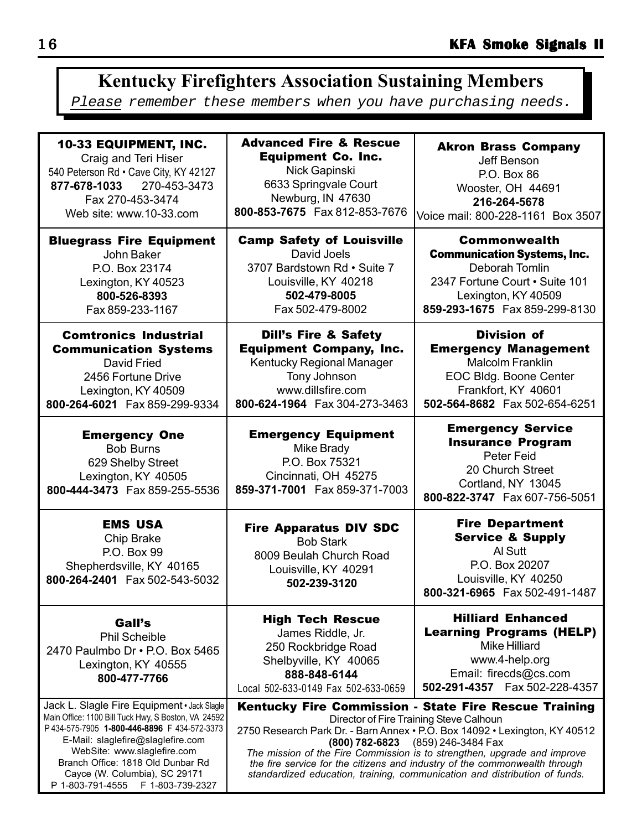#### 10-33 EQUIPMENT, INC. Craig and Teri Hiser Advanced Fire & Rescue Equipment Co. Inc. Akron Brass Company Jeff Benson P.O. Box 86 **Kentucky Firefighters Association Sustaining Members** Please remember these members when you have purchasing needs.

540 Peterson Rd • Cave City, KY 42127 **877-678-1033** 270-453-3473 Fax 270-453-3474 Web site: www.10-33.com

Bluegrass Fire Equipment John Baker P.O. Box 23174 Lexington, KY 40523 **800-526-8393** Fax 859-233-1167

Comtronics Industrial Communication Systems David Fried 2456 Fortune Drive Lexington, KY 40509

Emergency One Bob Burns 629 Shelby Street Lexington, KY 40505

**800-264-6021** Fax 859-299-9334

**800-444-3473** Fax 859-255-5536

EMS USA Chip Brake P.O. Box 99 Shepherdsville, KY 40165 **800-264-2401** Fax 502-543-5032

Gall's Phil Scheible 2470 Paulmbo Dr • P.O. Box 5465 Lexington, KY 40555 **800-477-7766**

Jack L. Slagle Fire Equipment **•** Jack Slagle Main Office: 1100 Bill Tuck Hwy, S Boston, VA 24592 P 434-575-7905 **1-800-446-8896** F 434-572-3373 E-Mail: slaglefire@slaglefire.com WebSite: www.slaglefire.com Branch Office: 1818 Old Dunbar Rd Cayce (W. Columbia), SC 29171 P 1-803-791-4555 F 1-803-739-2327

Nick Gapinski 6633 Springvale Court Newburg, IN 47630 **800-853-7675** Fax 812-853-7676

Camp Safety of Louisville David Joels 3707 Bardstown Rd • Suite 7 Louisville, KY 40218 **502-479-8005** Fax 502-479-8002

Dill's Fire & Safety Equipment Company, Inc. Kentucky Regional Manager Tony Johnson www.dillsfire.com **800-624-1964** Fax 304-273-3463

Emergency Equipment Mike Brady P.O. Box 75321 Cincinnati, OH 45275 **859-371-7001** Fax 859-371-7003

Fire Apparatus DIV SDC Bob Stark 8009 Beulah Church Road Louisville, KY 40291 **502-239-3120**

High Tech Rescue James Riddle, Jr. 250 Rockbridge Road Shelbyville, KY 40065 **888-848-6144** Local 502-633-0149 Fax 502-633-0659

Hilliard Enhanced Learning Programs (HELP) Mike Hilliard www.4-help.org Email: firecds@cs.com

Kentucky Fire Commission - State Fire Rescue Training Director of Fire Training Steve Calhoun 2750 Research Park Dr. - Barn Annex • P.O. Box 14092 • Lexington, KY 40512

**(800) 782-6823** (859) 246-3484 Fax *The mission of the Fire Commission is to strengthen, upgrade and improve the fire service for the citizens and industry of the commonwealth through standardized education, training, communication and distribution of funds.*

Commonwealth Communication Systems, Inc. Deborah Tomlin 2347 Fortune Court • Suite 101 Lexington, KY 40509 **859-293-1675** Fax 859-299-8130

Wooster, OH 44691 **216-264-5678** Voice mail: 800-228-1161 Box 3507

Division of Emergency Management Malcolm Franklin EOC Bldg. Boone Center Frankfort, KY 40601 **502-564-8682** Fax 502-654-6251

#### Emergency Service Insurance Program Peter Feid 20 Church Street Cortland, NY 13045 **800-822-3747** Fax 607-756-5051

Fire Department Service & Supply Al Sutt P.O. Box 20207 Louisville, KY 40250 **800-321-6965** Fax 502-491-1487

**502-291-4357** Fax 502-228-4357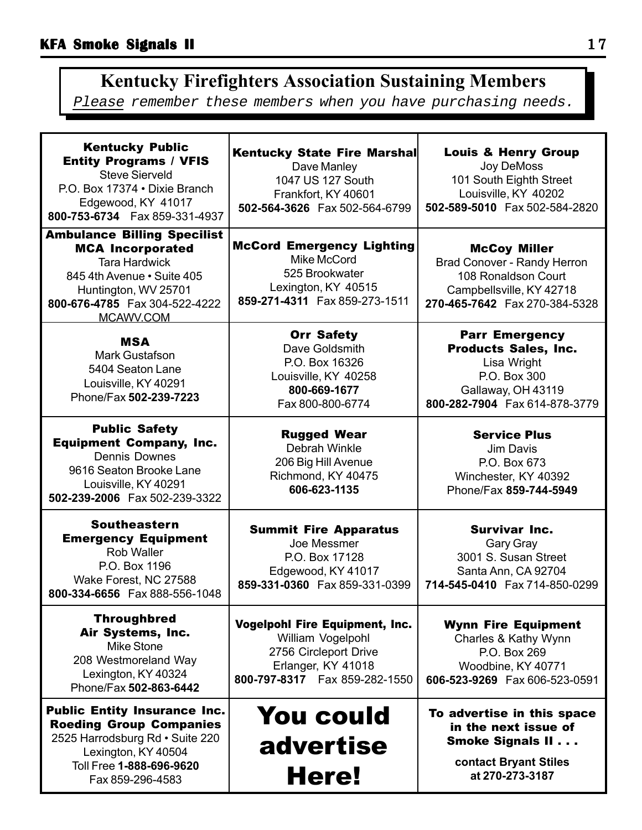# **Kentucky Firefighters Association Sustaining Members**

Please remember these members when you have purchasing needs.

| <b>Kentucky Public</b><br><b>Entity Programs / VFIS</b><br><b>Steve Sierveld</b><br>P.O. Box 17374 . Dixie Branch<br>Edgewood, KY 41017<br>800-753-6734    Fax 859-331-4937                | <b>Kentucky State Fire Marshal</b><br>Dave Manley<br>1047 US 127 South<br>Frankfort, KY 40601<br>502-564-3626 Fax 502-564-6799                | <b>Louis &amp; Henry Group</b><br>Joy DeMoss<br>101 South Eighth Street<br>Louisville, KY 40202<br>502-589-5010 Fax 502-584-2820           |
|--------------------------------------------------------------------------------------------------------------------------------------------------------------------------------------------|-----------------------------------------------------------------------------------------------------------------------------------------------|--------------------------------------------------------------------------------------------------------------------------------------------|
| <b>Ambulance Billing Specilist</b><br><b>MCA Incorporated</b><br><b>Tara Hardwick</b><br>845 4th Avenue • Suite 405<br>Huntington, WV 25701<br>800-676-4785  Fax 304-522-4222<br>MCAWV.COM | <b>McCord Emergency Lighting</b><br>Mike McCord<br>525 Brookwater<br>Lexington, KY 40515<br>859-271-4311  Fax 859-273-1511                    | <b>McCoy Miller</b><br>Brad Conover - Randy Herron<br>108 Ronaldson Court<br>Campbellsville, KY 42718<br>270-465-7642  Fax 270-384-5328    |
| <b>MSA</b><br>Mark Gustafson<br>5404 Seaton Lane<br>Louisville, KY 40291<br>Phone/Fax 502-239-7223                                                                                         | <b>Orr Safety</b><br>Dave Goldsmith<br>P.O. Box 16326<br>Louisville, KY 40258<br>800-669-1677<br>Fax 800-800-6774                             | <b>Parr Emergency</b><br><b>Products Sales, Inc.</b><br>Lisa Wright<br>P.O. Box 300<br>Gallaway, OH 43119<br>800-282-7904 Fax 614-878-3779 |
| <b>Public Safety</b><br><b>Equipment Company, Inc.</b><br><b>Dennis Downes</b><br>9616 Seaton Brooke Lane<br>Louisville, KY 40291<br>502-239-2006 Fax 502-239-3322                         | <b>Rugged Wear</b><br>Debrah Winkle<br>206 Big Hill Avenue<br>Richmond, KY 40475<br>606-623-1135                                              | <b>Service Plus</b><br>Jim Davis<br>P.O. Box 673<br>Winchester, KY 40392<br>Phone/Fax 859-744-5949                                         |
| <b>Southeastern</b><br><b>Emergency Equipment</b><br>Rob Waller<br>P.O. Box 1196<br>Wake Forest, NC 27588<br>800-334-6656  Fax 888-556-1048                                                | <b>Summit Fire Apparatus</b><br>Joe Messmer<br>P.O. Box 17128<br>Edgewood, KY 41017<br>859-331-0360  Fax 859-331-0399                         | <b>Survivar Inc.</b><br><b>Gary Gray</b><br>3001 S. Susan Street<br>Santa Ann, CA 92704<br>714-545-0410  Fax 714-850-0299                  |
| <b>Throughbred</b><br>Air Systems, Inc.<br>Mike Stone<br>208 Westmoreland Way<br>Lexington, KY 40324<br>Phone/Fax 502-863-6442                                                             | <b>Vogelpohl Fire Equipment, Inc.</b><br>William Vogelpohl<br>2756 Circleport Drive<br>Erlanger, KY 41018<br>800-797-8317    Fax 859-282-1550 | <b>Wynn Fire Equipment</b><br>Charles & Kathy Wynn<br>P.O. Box 269<br>Woodbine, KY 40771<br>606-523-9269    Fax 606-523-0591               |
| <b>Public Entity Insurance Inc.</b><br><b>Roeding Group Companies</b><br>2525 Harrodsburg Rd · Suite 220<br>Lexington, KY 40504<br>Toll Free 1-888-696-9620<br>Fax 859-296-4583            | <b>You could</b><br>advertise<br>Here!                                                                                                        | To advertise in this space<br>in the next issue of<br><b>Smoke Signals II</b><br>contact Bryant Stiles<br>at 270-273-3187                  |